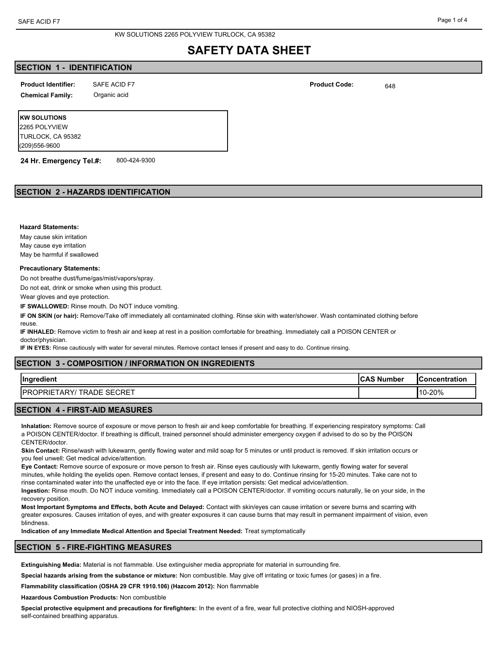## **SECTION 1 - IDENTIFICATION**

| <b>Product Identifier:</b> | SAFE ACID F7 | <b>Product Code:</b><br>. | 648 |
|----------------------------|--------------|---------------------------|-----|
|                            |              |                           |     |

**Chemical Family:** Organic acid

**KW SOLUTIONS** 2265 POLYVIEW TURLOCK, CA 95382 (209)556-9600

**24 Hr. Emergency Tel.#:** 800-424-9300

## **SECTION 2 - HAZARDS IDENTIFICATION**

**Hazard Statements:**

May cause skin irritation May cause eye irritation May be harmful if swallowed

#### **Precautionary Statements:**

Do not breathe dust/fume/gas/mist/vapors/spray.

Do not eat, drink or smoke when using this product.

Wear gloves and eye protection.

**IF SWALLOWED:** Rinse mouth. Do NOT induce vomiting.

**IF ON SKIN (or hair):** Remove/Take off immediately all contaminated clothing. Rinse skin with water/shower. Wash contaminated clothing before reuse.

**IF INHALED:** Remove victim to fresh air and keep at rest in a position comfortable for breathing. Immediately call a POISON CENTER or doctor/physician.

**IF IN EYES:** Rinse cautiously with water for several minutes. Remove contact lenses if present and easy to do. Continue rinsing.

## **SECTION 3 - COMPOSITION / INFORMATION ON INGREDIENTS**

|                                                    |             | <b>Concentration</b> |
|----------------------------------------------------|-------------|----------------------|
| <b>TRADE SECRET</b><br><b>IPR</b><br>. ARY<br>PRIE | $110 - 20%$ |                      |

### **SECTION 4 - FIRST-AID MEASURES**

**Inhalation:** Remove source of exposure or move person to fresh air and keep comfortable for breathing. If experiencing respiratory symptoms: Call a POISON CENTER/doctor. If breathing is difficult, trained personnel should administer emergency oxygen if advised to do so by the POISON CENTER/doctor.

**Skin Contact:** Rinse/wash with lukewarm, gently flowing water and mild soap for 5 minutes or until product is removed. If skin irritation occurs or you feel unwell: Get medical advice/attention.

**Eye Contact:** Remove source of exposure or move person to fresh air. Rinse eyes cautiously with lukewarm, gently flowing water for several minutes, while holding the eyelids open. Remove contact lenses, if present and easy to do. Continue rinsing for 15-20 minutes. Take care not to rinse contaminated water into the unaffected eye or into the face. If eye irritation persists: Get medical advice/attention.

**Ingestion:** Rinse mouth. Do NOT induce vomiting. Immediately call a POISON CENTER/doctor. If vomiting occurs naturally, lie on your side, in the recovery position.

**Most Important Symptoms and Effects, both Acute and Delayed:** Contact with skin/eyes can cause irritation or severe burns and scarring with greater exposures. Causes irritation of eyes, and with greater exposures it can cause burns that may result in permanent impairment of vision, even blindness.

**Indication of any Immediate Medical Attention and Special Treatment Needed:** Treat symptomatically

#### **SECTION 5 - FIRE-FIGHTING MEASURES**

**Extinguishing Media:** Material is not flammable. Use extinguisher media appropriate for material in surrounding fire.

**Special hazards arising from the substance or mixture:** Non combustible. May give off irritating or toxic fumes (or gases) in a fire.

**Flammability classification (OSHA 29 CFR 1910.106) (Hazcom 2012):** Non flammable

**Hazardous Combustion Products:** Non combustible

**Special protective equipment and precautions for firefighters:** In the event of a fire, wear full protective clothing and NIOSH-approved self-contained breathing apparatus.

**Product Identifier: Product Code:**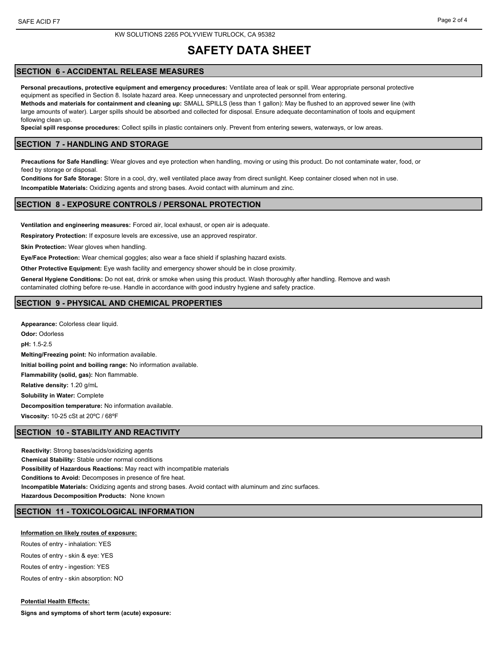### **SECTION 6 - ACCIDENTAL RELEASE MEASURES**

**Personal precautions, protective equipment and emergency procedures:** Ventilate area of leak or spill. Wear appropriate personal protective equipment as specified in Section 8. Isolate hazard area. Keep unnecessary and unprotected personnel from entering. **Methods and materials for containment and cleaning up:** SMALL SPILLS (less than 1 gallon): May be flushed to an approved sewer line (with large amounts of water). Larger spills should be absorbed and collected for disposal. Ensure adequate decontamination of tools and equipment following clean up.

**Special spill response procedures:** Collect spills in plastic containers only. Prevent from entering sewers, waterways, or low areas.

#### **SECTION 7 - HANDLING AND STORAGE**

**Precautions for Safe Handling:** Wear gloves and eye protection when handling, moving or using this product. Do not contaminate water, food, or feed by storage or disposal.

**Conditions for Safe Storage:** Store in a cool, dry, well ventilated place away from direct sunlight. Keep container closed when not in use.

**Incompatible Materials:** Oxidizing agents and strong bases. Avoid contact with aluminum and zinc.

#### **SECTION 8 - EXPOSURE CONTROLS / PERSONAL PROTECTION**

**Ventilation and engineering measures:** Forced air, local exhaust, or open air is adequate.

**Respiratory Protection:** If exposure levels are excessive, use an approved respirator.

**Skin Protection:** Wear gloves when handling.

**Eye/Face Protection:** Wear chemical goggles; also wear a face shield if splashing hazard exists.

**Other Protective Equipment:** Eye wash facility and emergency shower should be in close proximity.

**General Hygiene Conditions:** Do not eat, drink or smoke when using this product. Wash thoroughly after handling. Remove and wash contaminated clothing before re-use. Handle in accordance with good industry hygiene and safety practice.

#### **SECTION 9 - PHYSICAL AND CHEMICAL PROPERTIES**

**Appearance:** Colorless clear liquid. **Odor:** Odorless **pH:** 1.5-2.5 **Melting/Freezing point:** No information available. **Initial boiling point and boiling range:** No information available. **Flammability (solid, gas):** Non flammable. **Relative density:** 1.20 g/mL **Solubility in Water:** Complete **Decomposition temperature:** No information available. **Viscosity:** 10-25 cSt at 20ºC / 68ºF

#### **SECTION 10 - STABILITY AND REACTIVITY**

**Reactivity:** Strong bases/acids/oxidizing agents **Chemical Stability:** Stable under normal conditions **Possibility of Hazardous Reactions:** May react with incompatible materials **Conditions to Avoid:** Decomposes in presence of fire heat. **Incompatible Materials:** Oxidizing agents and strong bases. Avoid contact with aluminum and zinc surfaces. **Hazardous Decomposition Products:** None known

#### **SECTION 11 - TOXICOLOGICAL INFORMATION**

#### **Information on likely routes of exposure:**

Routes of entry - inhalation: YES Routes of entry - skin & eye: YES Routes of entry - ingestion: YES Routes of entry - skin absorption: NO

**Potential Health Effects: Signs and symptoms of short term (acute) exposure:**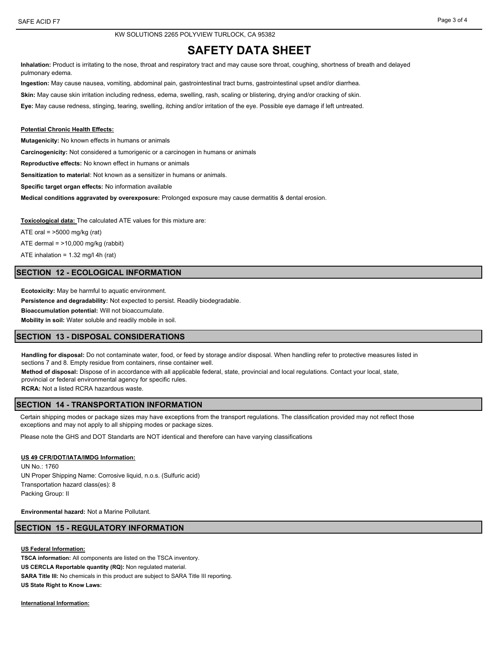**Inhalation:** Product is irritating to the nose, throat and respiratory tract and may cause sore throat, coughing, shortness of breath and delayed pulmonary edema.

**Ingestion:** May cause nausea, vomiting, abdominal pain, gastrointestinal tract burns, gastrointestinal upset and/or diarrhea.

**Skin:** May cause skin irritation including redness, edema, swelling, rash, scaling or blistering, drying and/or cracking of skin.

**Eye:** May cause redness, stinging, tearing, swelling, itching and/or irritation of the eye. Possible eye damage if left untreated.

#### **Potential Chronic Health Effects:**

**Mutagenicity:** No known effects in humans or animals

**Carcinogenicity:** Not considered a tumorigenic or a carcinogen in humans or animals

**Reproductive effects:** No known effect in humans or animals

**Sensitization to material**: Not known as a sensitizer in humans or animals.

**Specific target organ effects:** No information available

**Medical conditions aggravated by overexposure:** Prolonged exposure may cause dermatitis & dental erosion.

**Toxicological data:** The calculated ATE values for this mixture are:

ATE oral  $=$  >5000 mg/kg (rat)

ATE dermal  $=$  >10,000 mg/kg (rabbit)

ATE inhalation = 1.32 mg/l 4h (rat)

#### **SECTION 12 - ECOLOGICAL INFORMATION**

**Ecotoxicity:** May be harmful to aquatic environment. **Persistence and degradability:** Not expected to persist. Readily biodegradable. **Bioaccumulation potential:** Will not bioaccumulate. **Mobility in soil:** Water soluble and readily mobile in soil.

### **SECTION 13 - DISPOSAL CONSIDERATIONS**

**Handling for disposal:** Do not contaminate water, food, or feed by storage and/or disposal. When handling refer to protective measures listed in sections 7 and 8. Empty residue from containers, rinse container well.

**Method of disposal:** Dispose of in accordance with all applicable federal, state, provincial and local regulations. Contact your local, state,

provincial or federal environmental agency for specific rules.

**RCRA:** Not a listed RCRA hazardous waste.

#### **SECTION 14 - TRANSPORTATION INFORMATION**

Certain shipping modes or package sizes may have exceptions from the transport regulations. The classification provided may not reflect those exceptions and may not apply to all shipping modes or package sizes.

Please note the GHS and DOT Standarts are NOT identical and therefore can have varying classifications

#### **US 49 CFR/DOT/IATA/IMDG Information:**

UN No.: 1760 UN Proper Shipping Name: Corrosive liquid, n.o.s. (Sulfuric acid) Transportation hazard class(es): 8 Packing Group: II

**Environmental hazard:** Not a Marine Pollutant.

#### **SECTION 15 - REGULATORY INFORMATION**

**US Federal Information: TSCA information:** All components are listed on the TSCA inventory. **US CERCLA Reportable quantity (RQ):** Non regulated material. SARA Title III: No chemicals in this product are subject to SARA Title III reporting. **US State Right to Know Laws:**

**International Information:**